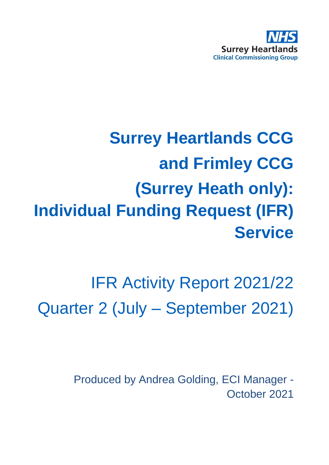

# **Surrey Heartlands CCG and Frimley CCG (Surrey Heath only): Individual Funding Request (IFR) Service**

IFR Activity Report 2021/22 Quarter 2 (July – September 2021)

> Produced by Andrea Golding, ECI Manager - October 2021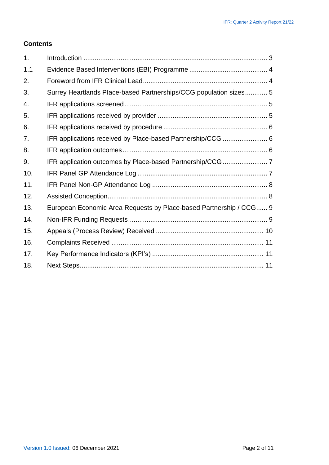#### **Contents**

| 1.  |                                                                    |  |
|-----|--------------------------------------------------------------------|--|
| 1.1 |                                                                    |  |
| 2.  |                                                                    |  |
| 3.  | Surrey Heartlands Place-based Partnerships/CCG population sizes 5  |  |
| 4.  |                                                                    |  |
| 5.  |                                                                    |  |
| 6.  |                                                                    |  |
| 7.  | IFR applications received by Place-based Partnership/CCG  6        |  |
| 8.  |                                                                    |  |
| 9.  |                                                                    |  |
| 10. |                                                                    |  |
| 11. |                                                                    |  |
| 12. |                                                                    |  |
| 13. | European Economic Area Requests by Place-based Partnership / CCG 9 |  |
| 14. |                                                                    |  |
| 15. |                                                                    |  |
| 16. |                                                                    |  |
| 17. |                                                                    |  |
| 18. |                                                                    |  |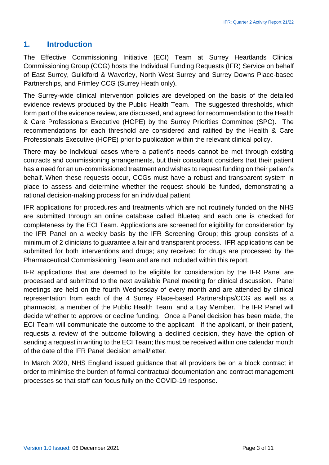#### **1. Introduction**

The Effective Commissioning Initiative (ECI) Team at Surrey Heartlands Clinical Commissioning Group (CCG) hosts the Individual Funding Requests (IFR) Service on behalf of East Surrey, Guildford & Waverley, North West Surrey and Surrey Downs Place-based Partnerships, and Frimley CCG (Surrey Heath only).

The Surrey-wide clinical intervention policies are developed on the basis of the detailed evidence reviews produced by the Public Health Team. The suggested thresholds, which form part of the evidence review, are discussed, and agreed for recommendation to the Health & Care Professionals Executive (HCPE) by the Surrey Priorities Committee (SPC). The recommendations for each threshold are considered and ratified by the Health & Care Professionals Executive (HCPE) prior to publication within the relevant clinical policy.

There may be individual cases where a patient's needs cannot be met through existing contracts and commissioning arrangements, but their consultant considers that their patient has a need for an un-commissioned treatment and wishes to request funding on their patient's behalf. When these requests occur, CCGs must have a robust and transparent system in place to assess and determine whether the request should be funded, demonstrating a rational decision-making process for an individual patient.

IFR applications for procedures and treatments which are not routinely funded on the NHS are submitted through an online database called Blueteq and each one is checked for completeness by the ECI Team. Applications are screened for eligibility for consideration by the IFR Panel on a weekly basis by the IFR Screening Group; this group consists of a minimum of 2 clinicians to guarantee a fair and transparent process. IFR applications can be submitted for both interventions and drugs; any received for drugs are processed by the Pharmaceutical Commissioning Team and are not included within this report.

IFR applications that are deemed to be eligible for consideration by the IFR Panel are processed and submitted to the next available Panel meeting for clinical discussion. Panel meetings are held on the fourth Wednesday of every month and are attended by clinical representation from each of the 4 Surrey Place-based Partnerships/CCG as well as a pharmacist, a member of the Public Health Team, and a Lay Member. The IFR Panel will decide whether to approve or decline funding. Once a Panel decision has been made, the ECI Team will communicate the outcome to the applicant. If the applicant, or their patient, requests a review of the outcome following a declined decision, they have the option of sending a request in writing to the ECI Team; this must be received within one calendar month of the date of the IFR Panel decision email/letter.

In March 2020, NHS England issued guidance that all providers be on a block contract in order to minimise the burden of formal contractual documentation and contract management processes so that staff can focus fully on the COVID-19 response.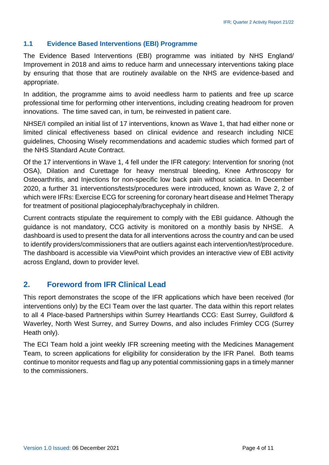#### **1.1 Evidence Based Interventions (EBI) Programme**

The Evidence Based Interventions (EBI) programme was initiated by NHS England/ Improvement in 2018 and aims to reduce harm and unnecessary interventions taking place by ensuring that those that are routinely available on the NHS are evidence-based and appropriate.

In addition, the programme aims to avoid needless harm to patients and free up scarce professional time for performing other interventions, including creating headroom for proven innovations. The time saved can, in turn, be reinvested in patient care.

NHSE/I compiled an initial list of 17 interventions, known as Wave 1, that had either none or limited clinical effectiveness based on clinical evidence and research including NICE guidelines, Choosing Wisely recommendations and academic studies which formed part of the NHS Standard Acute Contract.

Of the 17 interventions in Wave 1, 4 fell under the IFR category: Intervention for snoring (not OSA), Dilation and Curettage for heavy menstrual bleeding, Knee Arthroscopy for Osteoarthritis, and Injections for non-specific low back pain without sciatica. In December 2020, a further 31 interventions/tests/procedures were introduced, known as Wave 2, 2 of which were IFRs: Exercise ECG for screening for coronary heart disease and Helmet Therapy for treatment of positional plagiocephaly/brachycephaly in children.

Current contracts stipulate the requirement to comply with the EBI guidance. Although the guidance is not mandatory, CCG activity is monitored on a monthly basis by NHSE. A dashboard is used to present the data for all interventions across the country and can be used to identify providers/commissioners that are outliers against each intervention/test/procedure. The dashboard is accessible via ViewPoint which provides an interactive view of EBI activity across England, down to provider level.

#### **2. Foreword from IFR Clinical Lead**

This report demonstrates the scope of the IFR applications which have been received (for interventions only) by the ECI Team over the last quarter. The data within this report relates to all 4 Place-based Partnerships within Surrey Heartlands CCG: East Surrey, Guildford & Waverley, North West Surrey, and Surrey Downs, and also includes Frimley CCG (Surrey Heath only).

The ECI Team hold a joint weekly IFR screening meeting with the Medicines Management Team, to screen applications for eligibility for consideration by the IFR Panel. Both teams continue to monitor requests and flag up any potential commissioning gaps in a timely manner to the commissioners.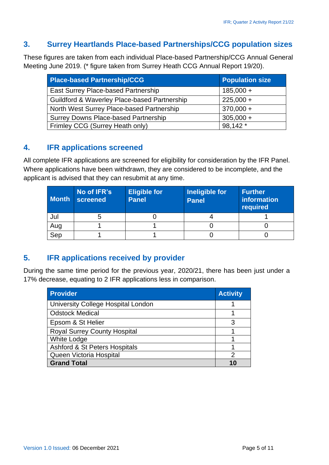#### **3. Surrey Heartlands PIace-based Partnerships/CCG population sizes**

These figures are taken from each individual Place-based Partnership/CCG Annual General Meeting June 2019. (\* figure taken from Surrey Heath CCG Annual Report 19/20).

| <b>Place-based Partnership/CCG</b>                      | <b>Population size</b> |
|---------------------------------------------------------|------------------------|
| East Surrey Place-based Partnership                     | $185,000 +$            |
| <b>Guildford &amp; Waverley Place-based Partnership</b> | $225,000 +$            |
| North West Surrey Place-based Partnership               | $370,000 +$            |
| <b>Surrey Downs Place-based Partnership</b>             | $305,000 +$            |
| Frimley CCG (Surrey Heath only)                         | 98,142 *               |

## **4. IFR applications screened**

All complete IFR applications are screened for eligibility for consideration by the IFR Panel. Where applications have been withdrawn, they are considered to be incomplete, and the applicant is advised that they can resubmit at any time.

| <b>Month</b> | No of IFR's<br>screened | <b>Eligible for</b><br><b>Panel</b> | Ineligible for<br><b>Panel</b> | <b>Further</b><br>information<br>required |
|--------------|-------------------------|-------------------------------------|--------------------------------|-------------------------------------------|
| Jul          |                         |                                     |                                |                                           |
| Aug          |                         |                                     |                                |                                           |
| Sep          |                         |                                     |                                |                                           |

# **5. IFR applications received by provider**

During the same time period for the previous year, 2020/21, there has been just under a 17% decrease, equating to 2 IFR applications less in comparison.

| <b>Provider</b>                     | <b>Activity</b> |
|-------------------------------------|-----------------|
| University College Hospital London  |                 |
| <b>Odstock Medical</b>              |                 |
| Epsom & St Helier                   | 3               |
| <b>Royal Surrey County Hospital</b> |                 |
| <b>White Lodge</b>                  |                 |
| Ashford & St Peters Hospitals       |                 |
| Queen Victoria Hospital             | 2               |
| <b>Grand Total</b>                  |                 |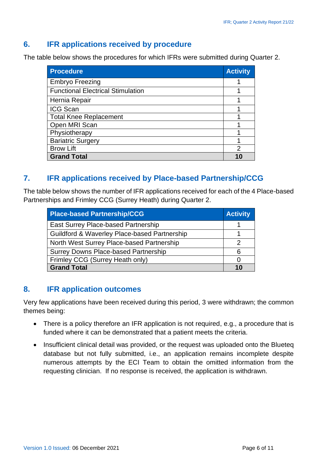## **6. IFR applications received by procedure**

The table below shows the procedures for which IFRs were submitted during Quarter 2.

| <b>Procedure</b>                         | <b>Activity</b> |
|------------------------------------------|-----------------|
| <b>Embryo Freezing</b>                   |                 |
| <b>Functional Electrical Stimulation</b> |                 |
| Hernia Repair                            |                 |
| <b>ICG Scan</b>                          |                 |
| <b>Total Knee Replacement</b>            |                 |
| Open MRI Scan                            |                 |
| Physiotherapy                            |                 |
| <b>Bariatric Surgery</b>                 |                 |
| <b>Brow Lift</b>                         | 2               |
| <b>Grand Total</b>                       |                 |

# **7. IFR applications received by Place-based Partnership/CCG**

The table below shows the number of IFR applications received for each of the 4 Place-based Partnerships and Frimley CCG (Surrey Heath) during Quarter 2.

| <b>Place-based Partnership/CCG</b>           | <b>Activity</b> |
|----------------------------------------------|-----------------|
| East Surrey Place-based Partnership          |                 |
| Guildford & Waverley Place-based Partnership |                 |
| North West Surrey Place-based Partnership    |                 |
| <b>Surrey Downs Place-based Partnership</b>  |                 |
| Frimley CCG (Surrey Heath only)              |                 |
| <b>Grand Total</b>                           | 10              |

#### **8. IFR application outcomes**

Very few applications have been received during this period, 3 were withdrawn; the common themes being:

- There is a policy therefore an IFR application is not required, e.g., a procedure that is funded where it can be demonstrated that a patient meets the criteria.
- Insufficient clinical detail was provided, or the request was uploaded onto the Blueteq database but not fully submitted, i.e., an application remains incomplete despite numerous attempts by the ECI Team to obtain the omitted information from the requesting clinician. If no response is received, the application is withdrawn.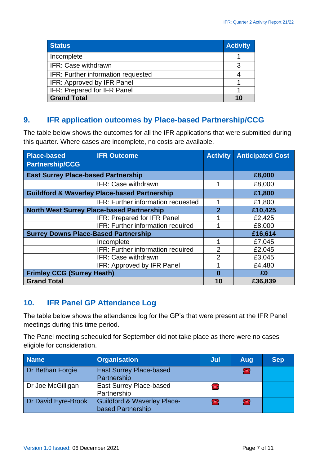| <b>Status</b>                      | <b>Activity</b> |
|------------------------------------|-----------------|
| Incomplete                         |                 |
| IFR: Case withdrawn                |                 |
| IFR: Further information requested |                 |
| IFR: Approved by IFR Panel         |                 |
| IFR: Prepared for IFR Panel        |                 |
| <b>Grand Total</b>                 |                 |

#### **9. IFR application outcomes by Place-based Partnership/CCG**

The table below shows the outcomes for all the IFR applications that were submitted during this quarter. Where cases are incomplete, no costs are available.

| <b>Place-based</b><br><b>Partnership/CCG</b> | <b>IFR Outcome</b>                                      | <b>Activity</b> | <b>Anticipated Cost</b> |
|----------------------------------------------|---------------------------------------------------------|-----------------|-------------------------|
|                                              |                                                         |                 |                         |
| <b>East Surrey Place-based Partnership</b>   |                                                         |                 | £8,000                  |
|                                              | IFR: Case withdrawn                                     |                 | £8,000                  |
|                                              | <b>Guildford &amp; Waverley Place-based Partnership</b> |                 | £1,800                  |
|                                              | IFR: Further information requested                      |                 | £1,800                  |
|                                              | <b>North West Surrey Place-based Partnership</b>        | $\overline{2}$  | £10,425                 |
|                                              | IFR: Prepared for IFR Panel                             |                 | £2,425                  |
|                                              | IFR: Further information required                       |                 | £8,000                  |
| <b>Surrey Downs Place-Based Partnership</b>  |                                                         |                 | £16,614                 |
|                                              | Incomplete                                              |                 | £7,045                  |
|                                              | IFR: Further information required                       | $\overline{2}$  | £2,045                  |
|                                              | IFR: Case withdrawn                                     | 2               | £3,045                  |
|                                              | IFR: Approved by IFR Panel                              |                 | £4,480                  |
| <b>Frimley CCG (Surrey Heath)</b>            |                                                         | 0               | £0                      |
| <b>Grand Total</b>                           |                                                         | 10              | £36,839                 |

# **10. IFR Panel GP Attendance Log**

The table below shows the attendance log for the GP's that were present at the IFR Panel meetings during this time period.

The Panel meeting scheduled for September did not take place as there were no cases eligible for consideration.

| <b>Name</b>         | <b>Organisation</b>                                         | Jul          | Aug          | <b>Sep</b> |
|---------------------|-------------------------------------------------------------|--------------|--------------|------------|
| Dr Bethan Forgie    | <b>East Surrey Place-based</b><br>Partnership               |              | Æ.           |            |
| Dr Joe McGilligan   | East Surrey Place-based<br>Partnership                      | <b>Fill</b>  |              |            |
| Dr David Eyre-Brook | <b>Guildford &amp; Waverley Place-</b><br>based Partnership | <b>Final</b> | <b>Fille</b> |            |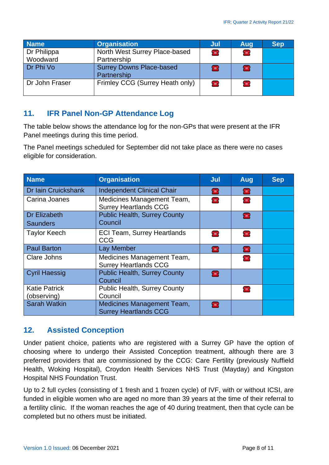| <b>Name</b>             | <b>Organisation</b>                            | Jul         | Aug            | <b>Sep</b> |
|-------------------------|------------------------------------------------|-------------|----------------|------------|
| Dr Philippa<br>Woodward | North West Surrey Place-based<br>Partnership   | <b>Fill</b> | <b>THE V</b>   |            |
| Dr Phi Vo               | <b>Surrey Downs Place-based</b><br>Partnership | 全           | <b>Filli</b>   |            |
| Dr John Fraser          | Frimley CCG (Surrey Heath only)                | <b>THE</b>  | $\blacksquare$ |            |

### **11. IFR Panel Non-GP Attendance Log**

The table below shows the attendance log for the non-GPs that were present at the IFR Panel meetings during this time period.

The Panel meetings scheduled for September did not take place as there were no cases eligible for consideration.

| <b>Name</b>          | <b>Organisation</b>                                        | Jul        | Aug              | <b>Sep</b> |
|----------------------|------------------------------------------------------------|------------|------------------|------------|
| Dr Iain Cruickshank  | <b>Independent Clinical Chair</b>                          | Æ          | 雷                |            |
| Carina Joanes        | Medicines Management Team,<br><b>Surrey Heartlands CCG</b> | <b>THE</b> | <b>THE V</b>     |            |
| <b>Dr Elizabeth</b>  | <b>Public Health, Surrey County</b>                        |            | æ                |            |
| <b>Saunders</b>      | Council                                                    |            |                  |            |
| <b>Taylor Keech</b>  | <b>ECI Team, Surrey Heartlands</b><br><b>CCG</b>           | <b>THE</b> | <b>THE V</b>     |            |
| <b>Paul Barton</b>   | Lay Member                                                 | 全          | Æ                |            |
| Clare Johns          | Medicines Management Team,<br><b>Surrey Heartlands CCG</b> |            | <b>THE VIOLE</b> |            |
| <b>Cyril Haessig</b> | <b>Public Health, Surrey County</b><br>Council             | 霊          |                  |            |
| <b>Katie Patrick</b> | <b>Public Health, Surrey County</b>                        |            | <b>THE</b>       |            |
| (observing)          | Council                                                    |            |                  |            |
| <b>Sarah Watkin</b>  | Medicines Management Team,<br><b>Surrey Heartlands CCG</b> | 雷          |                  |            |

#### **12. Assisted Conception**

Under patient choice, patients who are registered with a Surrey GP have the option of choosing where to undergo their Assisted Conception treatment, although there are 3 preferred providers that are commissioned by the CCG: Care Fertility (previously Nuffield Health, Woking Hospital), Croydon Health Services NHS Trust (Mayday) and Kingston Hospital NHS Foundation Trust.

Up to 2 full cycles (consisting of 1 fresh and 1 frozen cycle) of IVF, with or without ICSI, are funded in eligible women who are aged no more than 39 years at the time of their referral to a fertility clinic. If the woman reaches the age of 40 during treatment, then that cycle can be completed but no others must be initiated.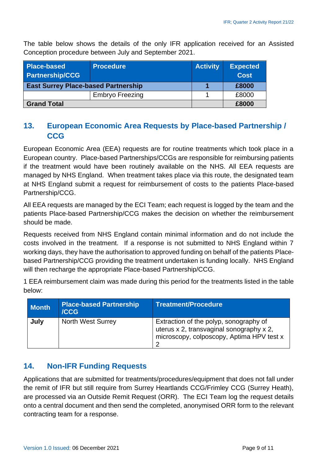The table below shows the details of the only IFR application received for an Assisted Conception procedure between July and September 2021.

| Place-based<br><b>Procedure</b><br><b>Partnership/CCG</b> |                        | <b>Activity</b> | <b>Expected</b><br><b>Cost</b> |
|-----------------------------------------------------------|------------------------|-----------------|--------------------------------|
| <b>East Surrey Place-based Partnership</b>                |                        | £8000           |                                |
|                                                           | <b>Embryo Freezing</b> |                 | £8000                          |
| <b>Grand Total</b>                                        |                        |                 | £8000                          |

## **13. European Economic Area Requests by Place-based Partnership / CCG**

European Economic Area (EEA) requests are for routine treatments which took place in a European country. Place-based Partnerships/CCGs are responsible for reimbursing patients if the treatment would have been routinely available on the NHS. All EEA requests are managed by NHS England. When treatment takes place via this route, the designated team at NHS England submit a request for reimbursement of costs to the patients Place-based Partnership/CCG.

All EEA requests are managed by the ECI Team; each request is logged by the team and the patients Place-based Partnership/CCG makes the decision on whether the reimbursement should be made.

Requests received from NHS England contain minimal information and do not include the costs involved in the treatment. If a response is not submitted to NHS England within 7 working days, they have the authorisation to approved funding on behalf of the patients Placebased Partnership/CCG providing the treatment undertaken is funding locally. NHS England will then recharge the appropriate Place-based Partnership/CCG.

1 EEA reimbursement claim was made during this period for the treatments listed in the table below:

| <b>Month</b> | <b>Place-based Partnership</b><br><b>ICCG</b> | <b>Treatment/Procedure</b>                                                                                                      |
|--------------|-----------------------------------------------|---------------------------------------------------------------------------------------------------------------------------------|
| July         | <b>North West Surrey</b>                      | Extraction of the polyp, sonography of<br>uterus x 2, transvaginal sonography x 2,<br>microscopy, colposcopy, Aptima HPV test x |

#### **14. Non-IFR Funding Requests**

Applications that are submitted for treatments/procedures/equipment that does not fall under the remit of IFR but still require from Surrey Heartlands CCG/Frimley CCG (Surrey Heath), are processed via an Outside Remit Request (ORR). The ECI Team log the request details onto a central document and then send the completed, anonymised ORR form to the relevant contracting team for a response.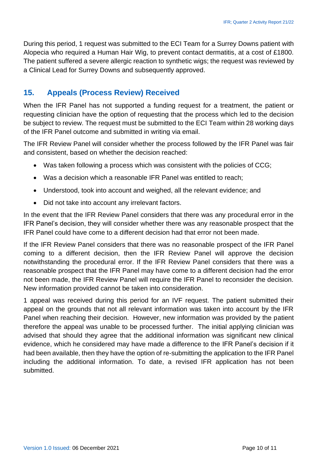During this period, 1 request was submitted to the ECI Team for a Surrey Downs patient with Alopecia who required a Human Hair Wig, to prevent contact dermatitis, at a cost of £1800. The patient suffered a severe allergic reaction to synthetic wigs; the request was reviewed by a Clinical Lead for Surrey Downs and subsequently approved.

## **15. Appeals (Process Review) Received**

When the IFR Panel has not supported a funding request for a treatment, the patient or requesting clinician have the option of requesting that the process which led to the decision be subject to review. The request must be submitted to the ECI Team within 28 working days of the IFR Panel outcome and submitted in writing via email.

The IFR Review Panel will consider whether the process followed by the IFR Panel was fair and consistent, based on whether the decision reached:

- Was taken following a process which was consistent with the policies of CCG;
- Was a decision which a reasonable IFR Panel was entitled to reach;
- Understood, took into account and weighed, all the relevant evidence; and
- Did not take into account any irrelevant factors.

In the event that the IFR Review Panel considers that there was any procedural error in the IFR Panel's decision, they will consider whether there was any reasonable prospect that the IFR Panel could have come to a different decision had that error not been made.

If the IFR Review Panel considers that there was no reasonable prospect of the IFR Panel coming to a different decision, then the IFR Review Panel will approve the decision notwithstanding the procedural error. If the IFR Review Panel considers that there was a reasonable prospect that the IFR Panel may have come to a different decision had the error not been made, the IFR Review Panel will require the IFR Panel to reconsider the decision. New information provided cannot be taken into consideration.

1 appeal was received during this period for an IVF request. The patient submitted their appeal on the grounds that not all relevant information was taken into account by the IFR Panel when reaching their decision. However, new information was provided by the patient therefore the appeal was unable to be processed further. The initial applying clinician was advised that should they agree that the additional information was significant new clinical evidence, which he considered may have made a difference to the IFR Panel's decision if it had been available, then they have the option of re-submitting the application to the IFR Panel including the additional information. To date, a revised IFR application has not been submitted.